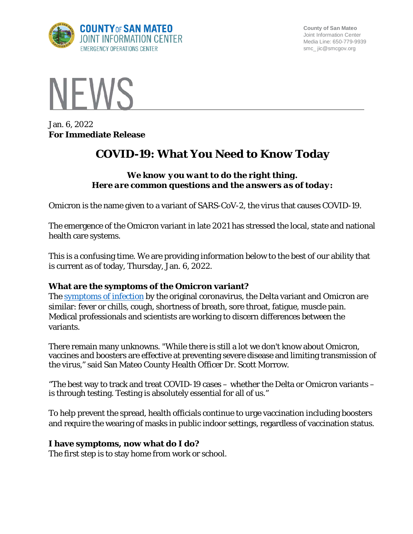

**County of San Mateo** Joint Information Center Media Line: 650-779-9939 smc\_ jic@smcgov.org



Jan. 6, 2022 **For Immediate Release**

# **COVID-19: What You Need to Know Today**

## *We know you want to do the right thing. Here are common questions and the answers as of today:*

Omicron is the name given to a variant of SARS-CoV-2, the virus that causes COVID-19.

The emergence of the Omicron variant in late 2021 has stressed the local, state and national health care systems.

This is a confusing time. We are providing information below to the best of our ability that is current as of today, Thursday, Jan. 6, 2022.

#### **What are the symptoms of the Omicron variant?**

The [symptoms of infection](https://www.cdc.gov/coronavirus/2019-ncov/symptoms-testing/symptoms.html) by the original coronavirus, the Delta variant and Omicron are similar: fever or chills, cough, shortness of breath, sore throat, fatigue, muscle pain. Medical professionals and scientists are working to discern differences between the variants.

There remain many unknowns. "While there is still a lot we don't know about Omicron, vaccines and boosters are effective at preventing severe disease and limiting transmission of the virus," said San Mateo County Health Officer Dr. Scott Morrow.

"The best way to track and treat COVID-19 cases – whether the Delta or Omicron variants – is through testing. Testing is absolutely essential for all of us."

To help prevent the spread, health officials continue to urge vaccination including boosters and require the wearing of masks in public indoor settings, regardless of vaccination status.

#### **I have symptoms, now what do I do?**

The first step is to stay home from work or school.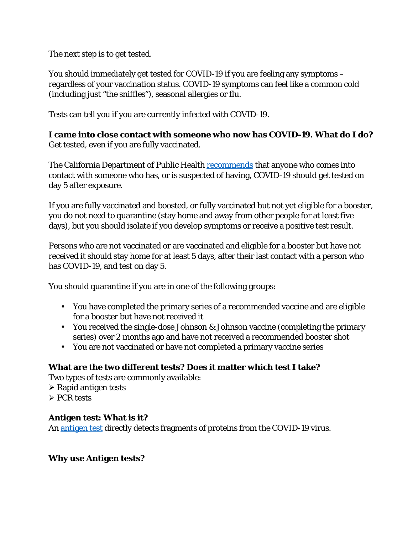The next step is to get tested.

You should immediately get tested for COVID-19 if you are feeling any symptoms – regardless of your vaccination status. COVID-19 symptoms can feel like a common cold (including just "the sniffles"), seasonal allergies or flu.

Tests can tell you if you are currently infected with COVID-19.

**I came into close contact with someone who now has COVID-19. What do I do?** Get tested, even if you are fully vaccinated.

The California Department of Public Health **[recommends](https://www.cdph.ca.gov/Programs/CID/DCDC/Pages/COVID-19/Guidance-on-Isolation-and-Quarantine-for-COVID-19-Contact-Tracing.aspx)** that anyone who comes into contact with someone who has, or is suspected of having, COVID-19 should get tested on day 5 after exposure.

If you are fully vaccinated and boosted, or fully vaccinated but not yet eligible for a booster, you do not need to quarantine (stay home and away from other people for at least five days), but you should isolate if you develop symptoms or receive a positive test result.

Persons who are not vaccinated or are vaccinated and eligible for a booster but have not received it should stay home for at least 5 days, after their last contact with a person who has COVID-19, and test on day 5.

You should quarantine if you are in one of the following groups:

- You have completed the primary series of a recommended vaccine and are eligible for a booster but have not received it
- You received the single-dose Johnson & Johnson vaccine (completing the primary series) over 2 months ago and have not received a recommended booster shot
- You are not vaccinated or have not completed a primary vaccine series

# **What are the two different tests? Does it matter which test I take?**

Two types of tests are commonly available:

- $\triangleright$  Rapid antigen tests
- $\triangleright$  PCR tests

# **Antigen test: What is it?**

An [antigen test](https://www.cdph.ca.gov/Programs/CID/DCDC/CDPH%20Document%20Library/COVID-19/Translations/Fact-Sheet-for-Antigen-Tests--en.pdf) directly detects fragments of proteins from the COVID-19 virus.

# **Why use Antigen tests?**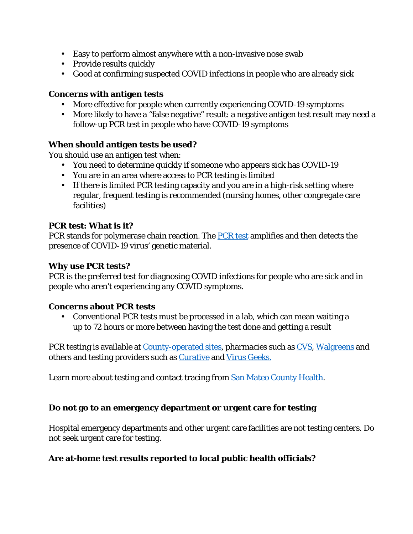- Easy to perform almost anywhere with a non-invasive nose swab
- Provide results quickly
- Good at confirming suspected COVID infections in people who are already sick

#### **Concerns with antigen tests**

- More effective for people when currently experiencing COVID-19 symptoms
- More likely to have a "false negative" result: a negative antigen test result may need a follow-up PCR test in people who have COVID-19 symptoms

#### **When should antigen tests be used?**

You should use an antigen test when:

- You need to determine quickly if someone who appears sick has COVID-19
- You are in an area where access to PCR testing is limited
- If there is limited PCR testing capacity and you are in a high-risk setting where regular, frequent testing is recommended (nursing homes, other congregate care facilities)

#### **PCR test: What is it?**

PCR stands for polymerase chain reaction. The [PCR test](https://www.cdph.ca.gov/Programs/CID/DCDC/CDPH%20Document%20Library/COVID-19/Translations/Fact-Sheet-for-PCR-Antigen-and-Serology-Tests--en.pdf) amplifies and then detects the presence of COVID-19 virus' genetic material.

#### **Why use PCR tests?**

PCR is the preferred test for diagnosing COVID infections for people who are sick and in people who aren't experiencing any COVID symptoms.

#### **Concerns about PCR tests**

• Conventional PCR tests must be processed in a lab, which can mean waiting a up to 72 hours or more between having the test done and getting a result

PCR testing is available at [County-operated sites,](https://www.smcgov.org/testing) pharmacies such as [CVS,](https://www.cvs.com/) [Walgreens](https://www.walgreens.com/) and others and testing providers such as [Curative](https://curative.com/) and [Virus Geeks.](https://virusgeeks.com/)

Learn more about testing and contact tracing from [San Mateo County Health.](https://www.smchealth.org/testing-contact-tracing)

#### **Do not go to an emergency department or urgent care for testing**

Hospital emergency departments and other urgent care facilities are not testing centers. Do not seek urgent care for testing.

#### **Are at-home test results reported to local public health officials?**